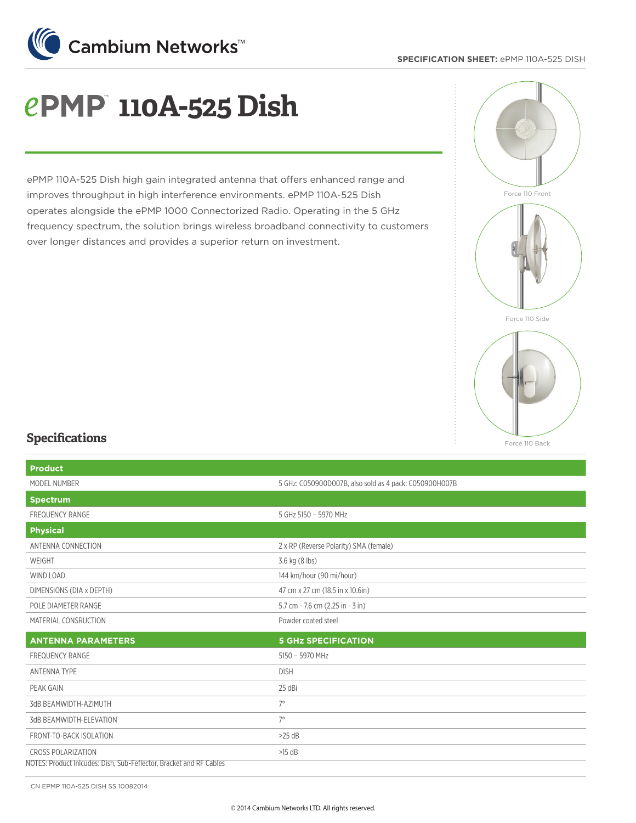

### **SPECIFICATION SHEET:** ePMP 110A-525 DISH

# **110A-525 Dish**

ePMP 110A-525 Dish high gain integrated antenna that offers enhanced range and improves throughput in high interference environments. ePMP 110A-525 Dish operates alongside the ePMP 1000 Connectorized Radio. Operating in the 5 GHz frequency spectrum, the solution brings wireless broadband connectivity to customers over longer distances and provides a superior return on investment.



### **Specifications**

| <b>Product</b>                                                      |                                                        |
|---------------------------------------------------------------------|--------------------------------------------------------|
| MODEL NUMBER                                                        | 5 GHz: C050900D007B, also sold as 4 pack: C050900H007B |
| <b>Spectrum</b>                                                     |                                                        |
| <b>FREQUENCY RANGE</b>                                              | 5 GHz 5150 - 5970 MHz                                  |
| <b>Physical</b>                                                     |                                                        |
| ANTENNA CONNECTION                                                  | 2 x RP (Reverse Polarity) SMA (female)                 |
| WEIGHT                                                              | 3.6 kg (8 lbs)                                         |
| WIND LOAD                                                           | 144 km/hour (90 mi/hour)                               |
| DIMENSIONS (DIA x DEPTH)                                            | 47 cm x 27 cm (18.5 in x 10.6in)                       |
| POLE DIAMETER RANGE                                                 | 5.7 cm - 7.6 cm (2.25 in - 3 in)                       |
| MATERIAL CONSRUCTION                                                | Powder coated steel                                    |
| <b>ANTENNA PARAMETERS</b>                                           | <b>5 GHz SPECIFICATION</b>                             |
| <b>FREQUENCY RANGE</b>                                              | 5150 - 5970 MHz                                        |
| <b>ANTENNA TYPE</b>                                                 | <b>DISH</b>                                            |
| PEAK GAIN                                                           | 25 dBi                                                 |
| 3dB BEAMWIDTH-AZIMUTH                                               | $7^\circ$                                              |
| 3dB BEAMWIDTH-ELEVATION                                             | $7^\circ$                                              |
| FRONT-TO-BACK ISOLATION                                             | $>25$ dB                                               |
| <b>CROSS POLARIZATION</b>                                           | $>15$ dB                                               |
| NOTES: Product Inicudes: Dish, Sub-Feflector, Bracket and RF Cables |                                                        |

CN EPMP 110A-525 DISH SS 10082014